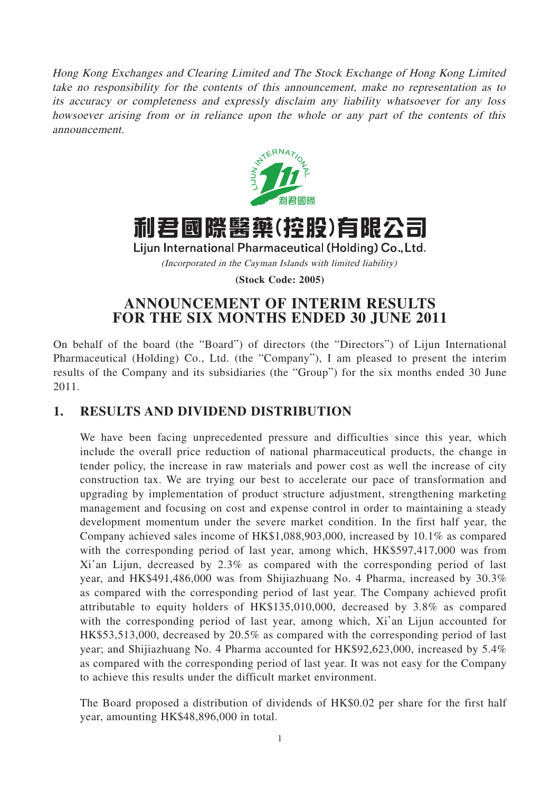Hong Kong Exchanges and Clearing Limited and The Stock Exchange of Hong Kong Limited take no responsibility for the contents of this announcement, make no representation as to its accuracy or completeness and expressly disclaim any liability whatsoever for any loss howsoever arising from or in reliance upon the whole or any part of the contents of this announcement.



利君國際醫藥(控股)有限公司

Lijun International Pharmaceutical (Holding) Co., Ltd.

(Incorporated in the Cayman Islands with limited liability)

**(Stock Code: 2005)**

## **ANNOUNCEMENT OF INTERIM RESULTS FOR THE SIX MONTHS ENDED 30 JUNE 2011**

On behalf of the board (the "Board") of directors (the "Directors") of Lijun International Pharmaceutical (Holding) Co., Ltd. (the "Company"), I am pleased to present the interim results of the Company and its subsidiaries (the "Group") for the six months ended 30 June 2011.

# **1. RESULTS AND DIVIDEND DISTRIBUTION**

We have been facing unprecedented pressure and difficulties since this year, which include the overall price reduction of national pharmaceutical products, the change in tender policy, the increase in raw materials and power cost as well the increase of city construction tax. We are trying our best to accelerate our pace of transformation and upgrading by implementation of product structure adjustment, strengthening marketing management and focusing on cost and expense control in order to maintaining a steady development momentum under the severe market condition. In the first half year, the Company achieved sales income of HK\$1,088,903,000, increased by 10.1% as compared with the corresponding period of last year, among which, HK\$597,417,000 was from Xi'an Lijun, decreased by 2.3% as compared with the corresponding period of last year, and HK\$491,486,000 was from Shijiazhuang No. 4 Pharma, increased by 30.3% as compared with the corresponding period of last year. The Company achieved profit attributable to equity holders of HK\$135,010,000, decreased by 3.8% as compared with the corresponding period of last year, among which, Xi'an Lijun accounted for HK\$53,513,000, decreased by 20.5% as compared with the corresponding period of last year; and Shijiazhuang No. 4 Pharma accounted for HK\$92,623,000, increased by 5.4% as compared with the corresponding period of last year. It was not easy for the Company to achieve this results under the difficult market environment.

The Board proposed a distribution of dividends of HK\$0.02 per share for the first half year, amounting HK\$48,896,000 in total.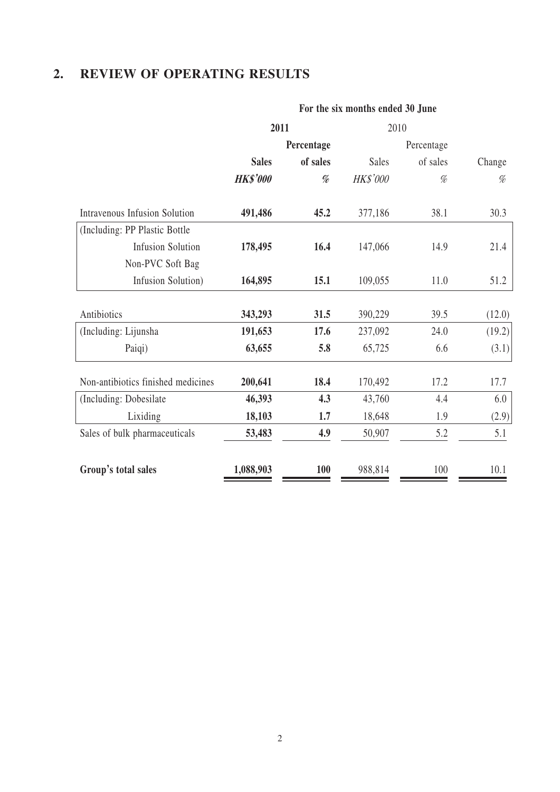# **2. REVIEW OF OPERATING RESULTS**

### **For the six months ended 30 June**

|                                      | 2011            |                                                                                                                                 | 2010         |            |        |  |
|--------------------------------------|-----------------|---------------------------------------------------------------------------------------------------------------------------------|--------------|------------|--------|--|
|                                      |                 | Percentage                                                                                                                      |              | Percentage |        |  |
|                                      | <b>Sales</b>    | of sales                                                                                                                        | <b>Sales</b> | of sales   | Change |  |
|                                      | <b>HK\$'000</b> | $% \mathcal{P}_{\mathcal{A}}^{\mathcal{A}}\!\left( \mathcal{A} \right) = \mathcal{A}^{\mathcal{A}}\!\left( \mathcal{A} \right)$ | HK\$'000     | %          | %      |  |
| <b>Intravenous Infusion Solution</b> | 491,486         | 45.2                                                                                                                            | 377,186      | 38.1       | 30.3   |  |
| (Including: PP Plastic Bottle        |                 |                                                                                                                                 |              |            |        |  |
| <b>Infusion Solution</b>             | 178,495         | 16.4                                                                                                                            | 147,066      | 14.9       | 21.4   |  |
| Non-PVC Soft Bag                     |                 |                                                                                                                                 |              |            |        |  |
| Infusion Solution)                   | 164,895         | 15.1                                                                                                                            | 109,055      | 11.0       | 51.2   |  |
| Antibiotics                          | 343,293         | 31.5                                                                                                                            | 390,229      | 39.5       | (12.0) |  |
| (Including: Lijunsha                 | 191,653         | 17.6                                                                                                                            | 237,092      | 24.0       | (19.2) |  |
| Paiqi)                               | 63,655          | 5.8                                                                                                                             | 65,725       | 6.6        | (3.1)  |  |
| Non-antibiotics finished medicines   | 200,641         | 18.4                                                                                                                            | 170,492      | 17.2       | 17.7   |  |
| (Including: Dobesilate               | 46,393          | 4.3                                                                                                                             | 43,760       | 4.4        | 6.0    |  |
| Lixiding                             | 18,103          | 1.7                                                                                                                             | 18,648       | 1.9        | (2.9)  |  |
| Sales of bulk pharmaceuticals        | 53,483          | 4.9                                                                                                                             | 50,907       | 5.2        | 5.1    |  |
| Group's total sales                  | 1,088,903       | <b>100</b>                                                                                                                      | 988,814      | 100        | 10.1   |  |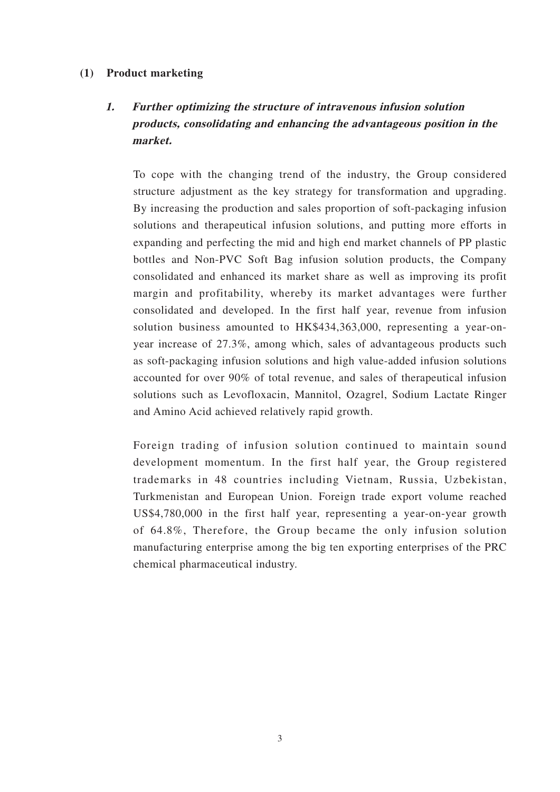### **(1) Product marketing**

# **1. Further optimizing the structure of intravenous infusion solution products, consolidating and enhancing the advantageous position in the market.**

To cope with the changing trend of the industry, the Group considered structure adjustment as the key strategy for transformation and upgrading. By increasing the production and sales proportion of soft-packaging infusion solutions and therapeutical infusion solutions, and putting more efforts in expanding and perfecting the mid and high end market channels of PP plastic bottles and Non-PVC Soft Bag infusion solution products, the Company consolidated and enhanced its market share as well as improving its profit margin and profitability, whereby its market advantages were further consolidated and developed. In the first half year, revenue from infusion solution business amounted to HK\$434,363,000, representing a year-onyear increase of 27.3%, among which, sales of advantageous products such as soft-packaging infusion solutions and high value-added infusion solutions accounted for over 90% of total revenue, and sales of therapeutical infusion solutions such as Levofloxacin, Mannitol, Ozagrel, Sodium Lactate Ringer and Amino Acid achieved relatively rapid growth.

Foreign trading of infusion solution continued to maintain sound development momentum. In the first half year, the Group registered trademarks in 48 countries including Vietnam, Russia, Uzbekistan, Turkmenistan and European Union. Foreign trade export volume reached US\$4,780,000 in the first half year, representing a year-on-year growth of 64.8%, Therefore, the Group became the only infusion solution manufacturing enterprise among the big ten exporting enterprises of the PRC chemical pharmaceutical industry.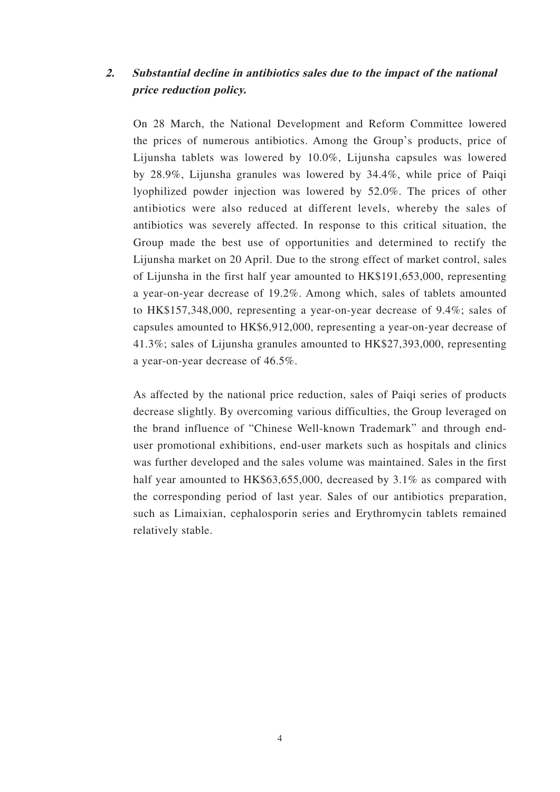## **2. Substantial decline in antibiotics sales due to the impact of the national price reduction policy.**

On 28 March, the National Development and Reform Committee lowered the prices of numerous antibiotics. Among the Group's products, price of Lijunsha tablets was lowered by 10.0%, Lijunsha capsules was lowered by 28.9%, Lijunsha granules was lowered by 34.4%, while price of Paiqi lyophilized powder injection was lowered by 52.0%. The prices of other antibiotics were also reduced at different levels, whereby the sales of antibiotics was severely affected. In response to this critical situation, the Group made the best use of opportunities and determined to rectify the Lijunsha market on 20 April. Due to the strong effect of market control, sales of Lijunsha in the first half year amounted to HK\$191,653,000, representing a year-on-year decrease of 19.2%. Among which, sales of tablets amounted to HK\$157,348,000, representing a year-on-year decrease of 9.4%; sales of capsules amounted to HK\$6,912,000, representing a year-on-year decrease of 41.3%; sales of Lijunsha granules amounted to HK\$27,393,000, representing a year-on-year decrease of 46.5%.

As affected by the national price reduction, sales of Paiqi series of products decrease slightly. By overcoming various difficulties, the Group leveraged on the brand influence of "Chinese Well-known Trademark" and through enduser promotional exhibitions, end-user markets such as hospitals and clinics was further developed and the sales volume was maintained. Sales in the first half year amounted to HK\$63,655,000, decreased by 3.1% as compared with the corresponding period of last year. Sales of our antibiotics preparation, such as Limaixian, cephalosporin series and Erythromycin tablets remained relatively stable.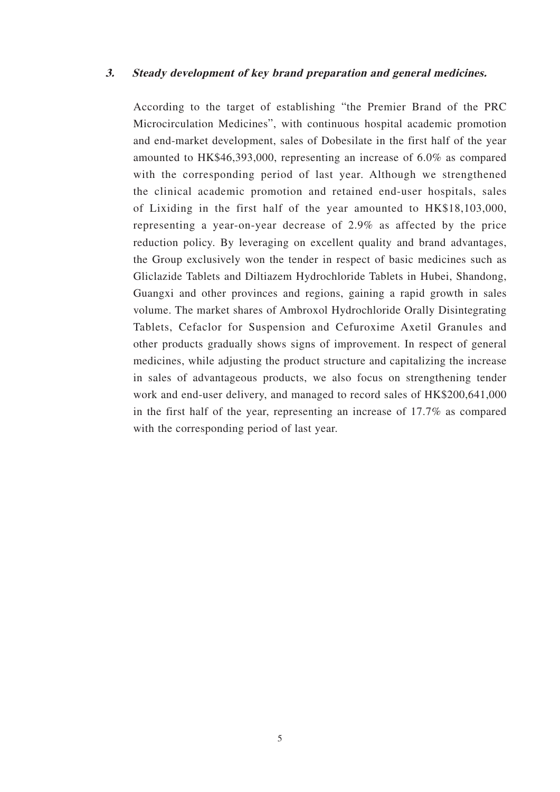### **3. Steady development of key brand preparation and general medicines.**

According to the target of establishing "the Premier Brand of the PRC Microcirculation Medicines", with continuous hospital academic promotion and end-market development, sales of Dobesilate in the first half of the year amounted to HK\$46,393,000, representing an increase of 6.0% as compared with the corresponding period of last year. Although we strengthened the clinical academic promotion and retained end-user hospitals, sales of Lixiding in the first half of the year amounted to HK\$18,103,000, representing a year-on-year decrease of 2.9% as affected by the price reduction policy. By leveraging on excellent quality and brand advantages, the Group exclusively won the tender in respect of basic medicines such as Gliclazide Tablets and Diltiazem Hydrochloride Tablets in Hubei, Shandong, Guangxi and other provinces and regions, gaining a rapid growth in sales volume. The market shares of Ambroxol Hydrochloride Orally Disintegrating Tablets, Cefaclor for Suspension and Cefuroxime Axetil Granules and other products gradually shows signs of improvement. In respect of general medicines, while adjusting the product structure and capitalizing the increase in sales of advantageous products, we also focus on strengthening tender work and end-user delivery, and managed to record sales of HK\$200,641,000 in the first half of the year, representing an increase of 17.7% as compared with the corresponding period of last year.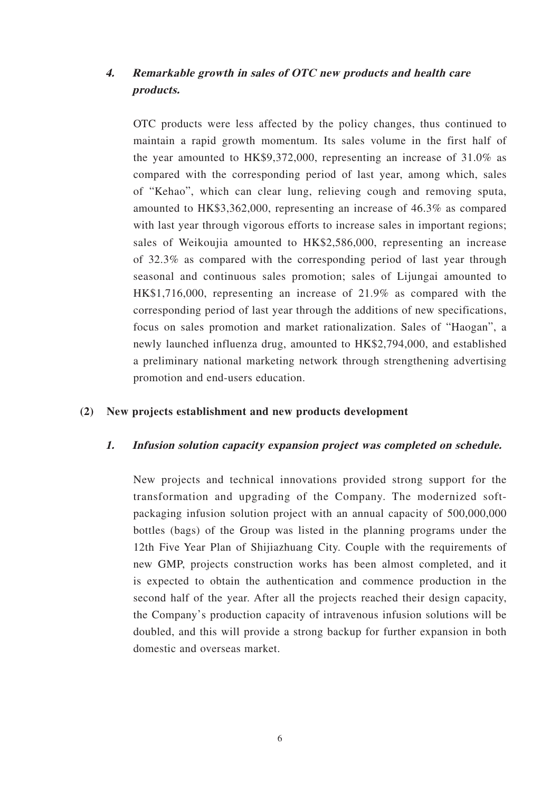## **4. Remarkable growth in sales of OTC new products and health care products.**

OTC products were less affected by the policy changes, thus continued to maintain a rapid growth momentum. Its sales volume in the first half of the year amounted to HK\$9,372,000, representing an increase of 31.0% as compared with the corresponding period of last year, among which, sales of "Kehao", which can clear lung, relieving cough and removing sputa, amounted to HK\$3,362,000, representing an increase of 46.3% as compared with last year through vigorous efforts to increase sales in important regions; sales of Weikoujia amounted to HK\$2,586,000, representing an increase of 32.3% as compared with the corresponding period of last year through seasonal and continuous sales promotion; sales of Lijungai amounted to HK\$1,716,000, representing an increase of 21.9% as compared with the corresponding period of last year through the additions of new specifications, focus on sales promotion and market rationalization. Sales of "Haogan", a newly launched influenza drug, amounted to HK\$2,794,000, and established a preliminary national marketing network through strengthening advertising promotion and end-users education.

### **(2) New projects establishment and new products development**

### **1. Infusion solution capacity expansion project was completed on schedule.**

New projects and technical innovations provided strong support for the transformation and upgrading of the Company. The modernized softpackaging infusion solution project with an annual capacity of 500,000,000 bottles (bags) of the Group was listed in the planning programs under the 12th Five Year Plan of Shijiazhuang City. Couple with the requirements of new GMP, projects construction works has been almost completed, and it is expected to obtain the authentication and commence production in the second half of the year. After all the projects reached their design capacity, the Company's production capacity of intravenous infusion solutions will be doubled, and this will provide a strong backup for further expansion in both domestic and overseas market.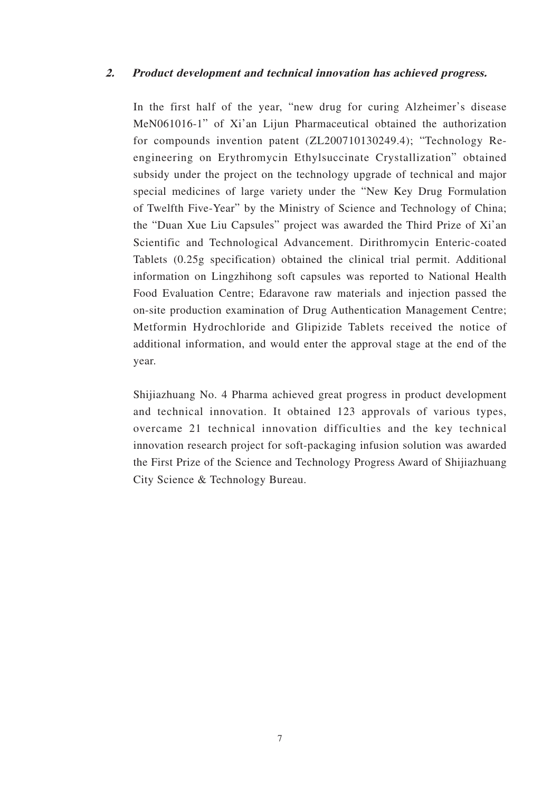### **2. Product development and technical innovation has achieved progress.**

In the first half of the year, "new drug for curing Alzheimer's disease MeN061016-1" of Xi'an Lijun Pharmaceutical obtained the authorization for compounds invention patent (ZL200710130249.4); "Technology Reengineering on Erythromycin Ethylsuccinate Crystallization" obtained subsidy under the project on the technology upgrade of technical and major special medicines of large variety under the "New Key Drug Formulation of Twelfth Five-Year" by the Ministry of Science and Technology of China; the "Duan Xue Liu Capsules" project was awarded the Third Prize of Xi'an Scientific and Technological Advancement. Dirithromycin Enteric-coated Tablets (0.25g specification) obtained the clinical trial permit. Additional information on Lingzhihong soft capsules was reported to National Health Food Evaluation Centre; Edaravone raw materials and injection passed the on-site production examination of Drug Authentication Management Centre; Metformin Hydrochloride and Glipizide Tablets received the notice of additional information, and would enter the approval stage at the end of the year.

Shijiazhuang No. 4 Pharma achieved great progress in product development and technical innovation. It obtained 123 approvals of various types, overcame 21 technical innovation difficulties and the key technical innovation research project for soft-packaging infusion solution was awarded the First Prize of the Science and Technology Progress Award of Shijiazhuang City Science & Technology Bureau.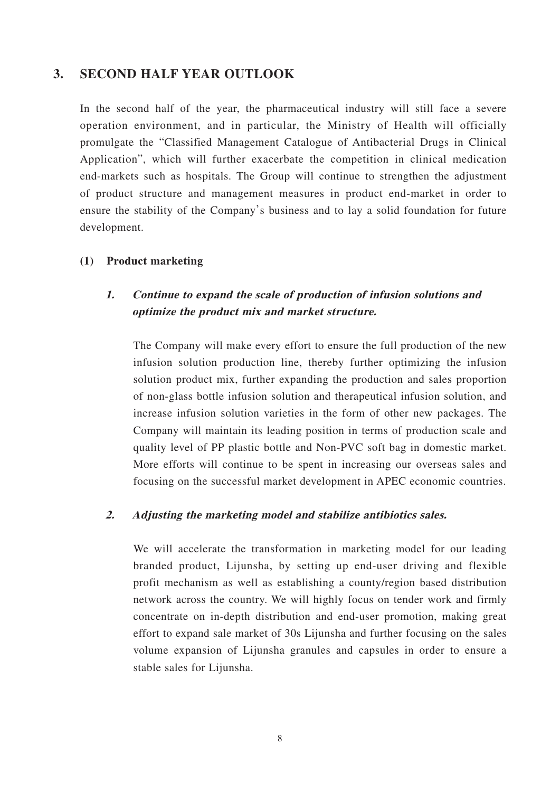### **3. SECOND HALF YEAR OUTLOOK**

In the second half of the year, the pharmaceutical industry will still face a severe operation environment, and in particular, the Ministry of Health will officially promulgate the "Classified Management Catalogue of Antibacterial Drugs in Clinical Application", which will further exacerbate the competition in clinical medication end-markets such as hospitals. The Group will continue to strengthen the adjustment of product structure and management measures in product end-market in order to ensure the stability of the Company's business and to lay a solid foundation for future development.

### **(1) Product marketing**

### **1. Continue to expand the scale of production of infusion solutions and optimize the product mix and market structure.**

The Company will make every effort to ensure the full production of the new infusion solution production line, thereby further optimizing the infusion solution product mix, further expanding the production and sales proportion of non-glass bottle infusion solution and therapeutical infusion solution, and increase infusion solution varieties in the form of other new packages. The Company will maintain its leading position in terms of production scale and quality level of PP plastic bottle and Non-PVC soft bag in domestic market. More efforts will continue to be spent in increasing our overseas sales and focusing on the successful market development in APEC economic countries.

### **2. Adjusting the marketing model and stabilize antibiotics sales.**

We will accelerate the transformation in marketing model for our leading branded product, Lijunsha, by setting up end-user driving and flexible profit mechanism as well as establishing a county/region based distribution network across the country. We will highly focus on tender work and firmly concentrate on in-depth distribution and end-user promotion, making great effort to expand sale market of 30s Lijunsha and further focusing on the sales volume expansion of Lijunsha granules and capsules in order to ensure a stable sales for Lijunsha.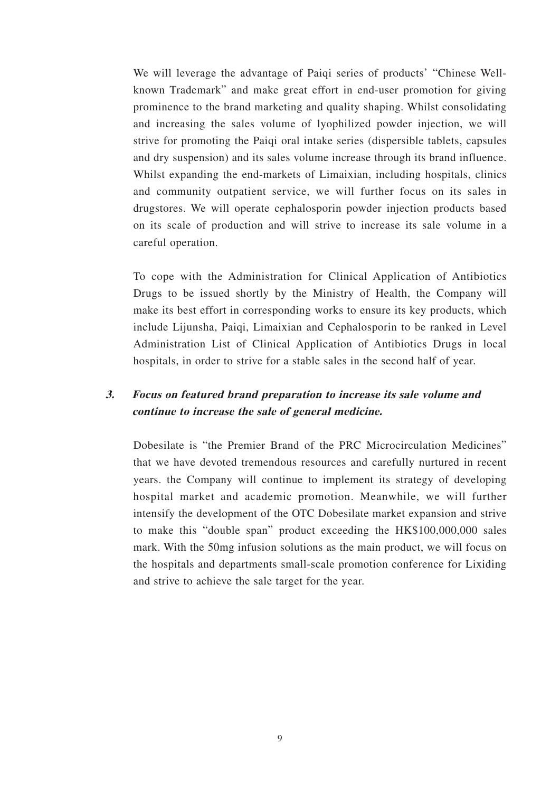We will leverage the advantage of Paiqi series of products' "Chinese Wellknown Trademark" and make great effort in end-user promotion for giving prominence to the brand marketing and quality shaping. Whilst consolidating and increasing the sales volume of lyophilized powder injection, we will strive for promoting the Paiqi oral intake series (dispersible tablets, capsules and dry suspension) and its sales volume increase through its brand influence. Whilst expanding the end-markets of Limaixian, including hospitals, clinics and community outpatient service, we will further focus on its sales in drugstores. We will operate cephalosporin powder injection products based on its scale of production and will strive to increase its sale volume in a careful operation.

To cope with the Administration for Clinical Application of Antibiotics Drugs to be issued shortly by the Ministry of Health, the Company will make its best effort in corresponding works to ensure its key products, which include Lijunsha, Paiqi, Limaixian and Cephalosporin to be ranked in Level Administration List of Clinical Application of Antibiotics Drugs in local hospitals, in order to strive for a stable sales in the second half of year.

## **3. Focus on featured brand preparation to increase its sale volume and continue to increase the sale of general medicine.**

Dobesilate is "the Premier Brand of the PRC Microcirculation Medicines" that we have devoted tremendous resources and carefully nurtured in recent years. the Company will continue to implement its strategy of developing hospital market and academic promotion. Meanwhile, we will further intensify the development of the OTC Dobesilate market expansion and strive to make this "double span" product exceeding the HK\$100,000,000 sales mark. With the 50mg infusion solutions as the main product, we will focus on the hospitals and departments small-scale promotion conference for Lixiding and strive to achieve the sale target for the year.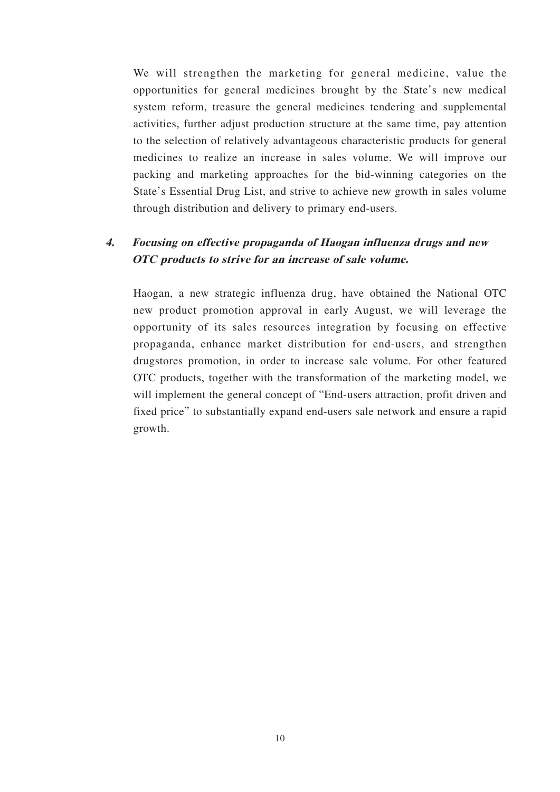We will strengthen the marketing for general medicine, value the opportunities for general medicines brought by the State's new medical system reform, treasure the general medicines tendering and supplemental activities, further adjust production structure at the same time, pay attention to the selection of relatively advantageous characteristic products for general medicines to realize an increase in sales volume. We will improve our packing and marketing approaches for the bid-winning categories on the State's Essential Drug List, and strive to achieve new growth in sales volume through distribution and delivery to primary end-users.

## **4. Focusing on effective propaganda of Haogan influenza drugs and new OTC products to strive for an increase of sale volume.**

Haogan, a new strategic influenza drug, have obtained the National OTC new product promotion approval in early August, we will leverage the opportunity of its sales resources integration by focusing on effective propaganda, enhance market distribution for end-users, and strengthen drugstores promotion, in order to increase sale volume. For other featured OTC products, together with the transformation of the marketing model, we will implement the general concept of "End-users attraction, profit driven and fixed price" to substantially expand end-users sale network and ensure a rapid growth.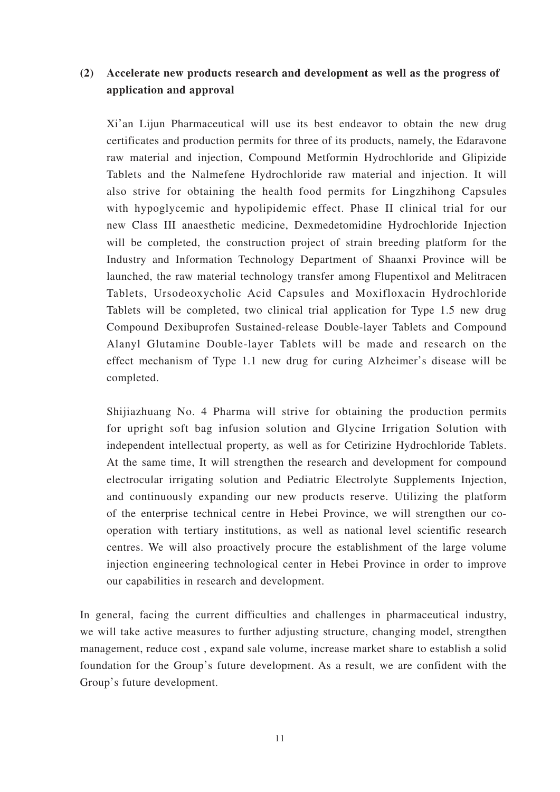### **(2) Accelerate new products research and development as well as the progress of application and approval**

Xi'an Lijun Pharmaceutical will use its best endeavor to obtain the new drug certificates and production permits for three of its products, namely, the Edaravone raw material and injection, Compound Metformin Hydrochloride and Glipizide Tablets and the Nalmefene Hydrochloride raw material and injection. It will also strive for obtaining the health food permits for Lingzhihong Capsules with hypoglycemic and hypolipidemic effect. Phase II clinical trial for our new Class III anaesthetic medicine, Dexmedetomidine Hydrochloride Injection will be completed, the construction project of strain breeding platform for the Industry and Information Technology Department of Shaanxi Province will be launched, the raw material technology transfer among Flupentixol and Melitracen Tablets, Ursodeoxycholic Acid Capsules and Moxifloxacin Hydrochloride Tablets will be completed, two clinical trial application for Type 1.5 new drug Compound Dexibuprofen Sustained-release Double-layer Tablets and Compound Alanyl Glutamine Double-layer Tablets will be made and research on the effect mechanism of Type 1.1 new drug for curing Alzheimer's disease will be completed.

Shijiazhuang No. 4 Pharma will strive for obtaining the production permits for upright soft bag infusion solution and Glycine Irrigation Solution with independent intellectual property, as well as for Cetirizine Hydrochloride Tablets. At the same time, It will strengthen the research and development for compound electrocular irrigating solution and Pediatric Electrolyte Supplements Injection, and continuously expanding our new products reserve. Utilizing the platform of the enterprise technical centre in Hebei Province, we will strengthen our cooperation with tertiary institutions, as well as national level scientific research centres. We will also proactively procure the establishment of the large volume injection engineering technological center in Hebei Province in order to improve our capabilities in research and development.

In general, facing the current difficulties and challenges in pharmaceutical industry, we will take active measures to further adjusting structure, changing model, strengthen management, reduce cost , expand sale volume, increase market share to establish a solid foundation for the Group's future development. As a result, we are confident with the Group's future development.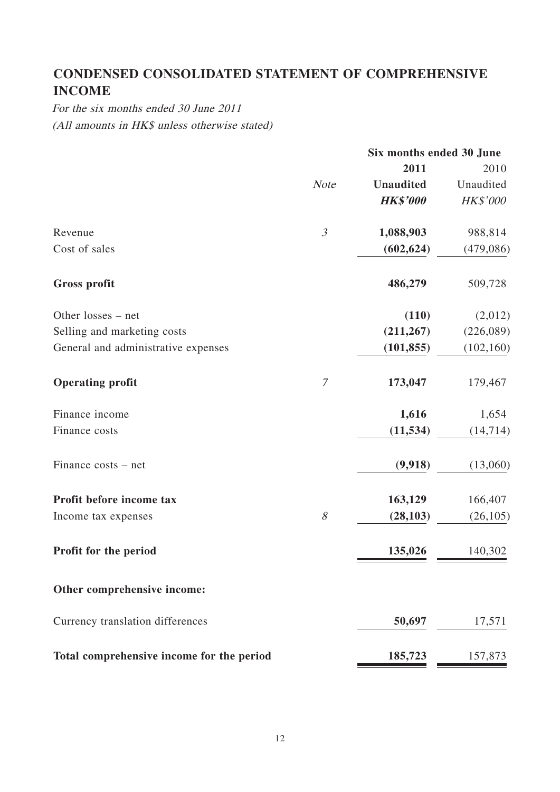# **CONDENSED CONSOLIDATED STATEMENT OF COMPREHENSIVE INCOME**

For the six months ended 30 June 2011 (All amounts in HK\$ unless otherwise stated)

|                                           |                | Six months ended 30 June |                 |  |
|-------------------------------------------|----------------|--------------------------|-----------------|--|
|                                           |                | 2011                     | 2010            |  |
|                                           | <b>Note</b>    | <b>Unaudited</b>         | Unaudited       |  |
|                                           |                | <b>HK\$'000</b>          | <b>HK\$'000</b> |  |
| Revenue                                   | $\mathfrak{Z}$ | 1,088,903                | 988,814         |  |
| Cost of sales                             |                | (602, 624)               | (479,086)       |  |
| <b>Gross profit</b>                       |                | 486,279                  | 509,728         |  |
| Other losses – net                        |                | (110)                    | (2,012)         |  |
| Selling and marketing costs               |                | (211, 267)               | (226,089)       |  |
| General and administrative expenses       |                | (101, 855)               | (102, 160)      |  |
| <b>Operating profit</b>                   | $\mathcal T$   | 173,047                  | 179,467         |  |
| Finance income                            |                | 1,616                    | 1,654           |  |
| Finance costs                             |                | (11, 534)                | (14, 714)       |  |
| Finance costs – net                       |                | (9,918)                  | (13,060)        |  |
| Profit before income tax                  |                | 163,129                  | 166,407         |  |
| Income tax expenses                       | 8              | (28, 103)                | (26, 105)       |  |
| Profit for the period                     |                | 135,026                  | 140,302         |  |
| Other comprehensive income:               |                |                          |                 |  |
| Currency translation differences          |                | 50,697                   | 17,571          |  |
| Total comprehensive income for the period |                | 185,723                  | 157,873         |  |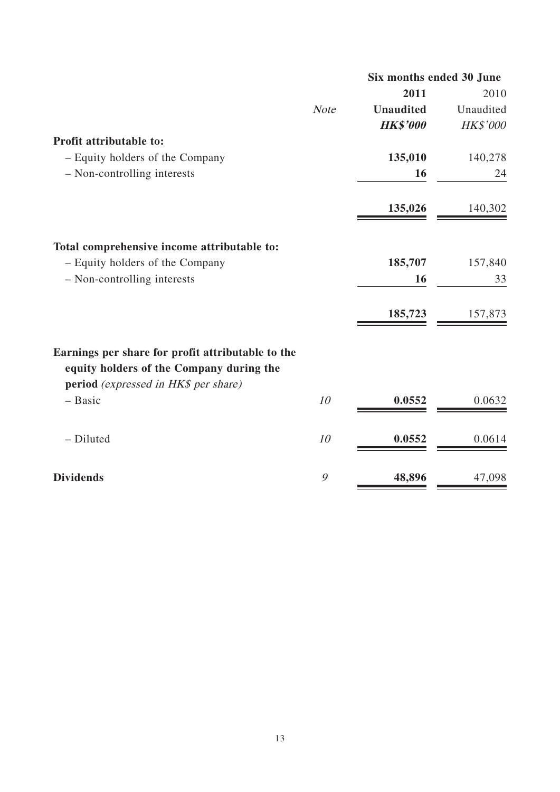|                                                                                               |             | Six months ended 30 June |           |
|-----------------------------------------------------------------------------------------------|-------------|--------------------------|-----------|
|                                                                                               |             | 2011                     | 2010      |
|                                                                                               | <b>Note</b> | <b>Unaudited</b>         | Unaudited |
|                                                                                               |             | <b>HK\$'000</b>          | HK\$'000  |
| Profit attributable to:                                                                       |             |                          |           |
| - Equity holders of the Company                                                               |             | 135,010                  | 140,278   |
| - Non-controlling interests                                                                   |             | 16                       | 24        |
|                                                                                               |             | 135,026                  | 140,302   |
| Total comprehensive income attributable to:                                                   |             |                          |           |
| - Equity holders of the Company                                                               |             | 185,707                  | 157,840   |
| - Non-controlling interests                                                                   |             | 16                       | 33        |
|                                                                                               |             | 185,723                  | 157,873   |
| Earnings per share for profit attributable to the<br>equity holders of the Company during the |             |                          |           |
| <b>period</b> (expressed in HK\$ per share)                                                   |             |                          |           |
| - Basic                                                                                       | 10          | 0.0552                   | 0.0632    |
| - Diluted                                                                                     | 10          | 0.0552                   | 0.0614    |
| <b>Dividends</b>                                                                              | 9           | 48,896                   | 47,098    |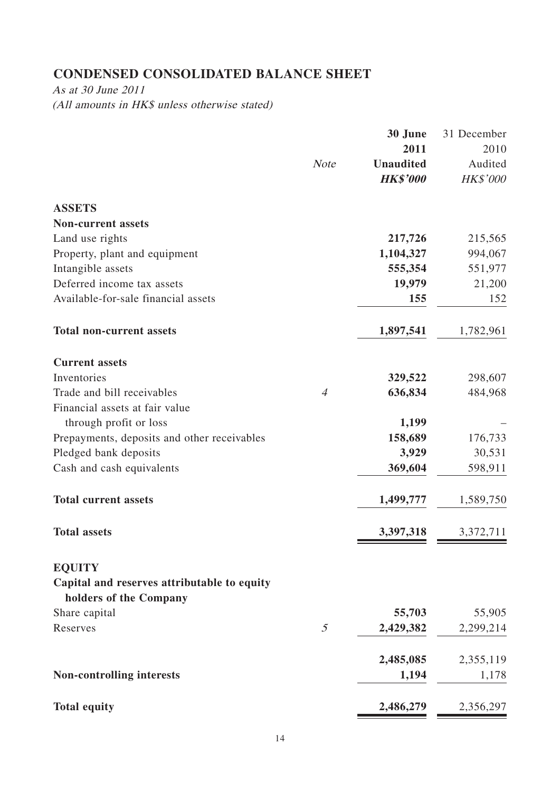# **CONDENSED CONSOLIDATED BALANCE SHEET**

As at 30 June 2011 (All amounts in HK\$ unless otherwise stated)

|                                             |                | 30 June          | 31 December |
|---------------------------------------------|----------------|------------------|-------------|
|                                             |                | 2011             | 2010        |
|                                             | <b>Note</b>    | <b>Unaudited</b> | Audited     |
|                                             |                | <b>HK\$'000</b>  | HK\$'000    |
| <b>ASSETS</b>                               |                |                  |             |
| <b>Non-current assets</b>                   |                |                  |             |
| Land use rights                             |                | 217,726          | 215,565     |
| Property, plant and equipment               |                | 1,104,327        | 994,067     |
| Intangible assets                           |                | 555,354          | 551,977     |
| Deferred income tax assets                  |                | 19,979           | 21,200      |
| Available-for-sale financial assets         |                | 155              | 152         |
| <b>Total non-current assets</b>             |                | 1,897,541        | 1,782,961   |
| <b>Current assets</b>                       |                |                  |             |
| Inventories                                 |                | 329,522          | 298,607     |
| Trade and bill receivables                  | $\overline{A}$ | 636,834          | 484,968     |
| Financial assets at fair value              |                |                  |             |
| through profit or loss                      |                | 1,199            |             |
| Prepayments, deposits and other receivables |                | 158,689          | 176,733     |
| Pledged bank deposits                       |                | 3,929            | 30,531      |
| Cash and cash equivalents                   |                | 369,604          | 598,911     |
| <b>Total current assets</b>                 |                | 1,499,777        | 1,589,750   |
| <b>Total assets</b>                         |                | 3,397,318        | 3,372,711   |
| <b>EQUITY</b>                               |                |                  |             |
| Capital and reserves attributable to equity |                |                  |             |
| holders of the Company                      |                |                  |             |
| Share capital                               |                | 55,703           | 55,905      |
| Reserves                                    | $\mathfrak{I}$ | 2,429,382        | 2,299,214   |
|                                             |                | 2,485,085        | 2,355,119   |
| <b>Non-controlling interests</b>            |                | 1,194            | 1,178       |
| <b>Total equity</b>                         |                | 2,486,279        | 2,356,297   |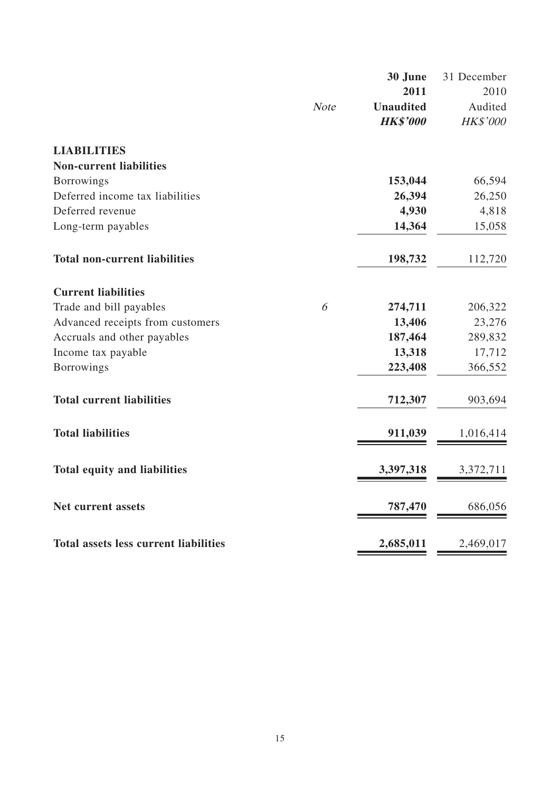|                                              |             | 30 June          | 31 December |
|----------------------------------------------|-------------|------------------|-------------|
|                                              |             | 2011             | 2010        |
|                                              | <b>Note</b> | <b>Unaudited</b> | Audited     |
|                                              |             | <b>HK\$'000</b>  | HK\$'000    |
| <b>LIABILITIES</b>                           |             |                  |             |
| <b>Non-current liabilities</b>               |             |                  |             |
| <b>Borrowings</b>                            |             | 153,044          | 66,594      |
| Deferred income tax liabilities              |             | 26,394           | 26,250      |
| Deferred revenue                             |             | 4,930            | 4,818       |
| Long-term payables                           |             | 14,364           | 15,058      |
| <b>Total non-current liabilities</b>         |             | 198,732          | 112,720     |
| <b>Current liabilities</b>                   |             |                  |             |
| Trade and bill payables                      | 6           | 274,711          | 206,322     |
| Advanced receipts from customers             |             | 13,406           | 23,276      |
| Accruals and other payables                  |             | 187,464          | 289,832     |
| Income tax payable                           |             | 13,318           | 17,712      |
| <b>Borrowings</b>                            |             | 223,408          | 366,552     |
| <b>Total current liabilities</b>             |             | 712,307          | 903,694     |
| <b>Total liabilities</b>                     |             | 911,039          | 1,016,414   |
| <b>Total equity and liabilities</b>          |             | 3,397,318        | 3,372,711   |
| <b>Net current assets</b>                    |             | 787,470          | 686,056     |
| <b>Total assets less current liabilities</b> |             | 2,685,011        | 2,469,017   |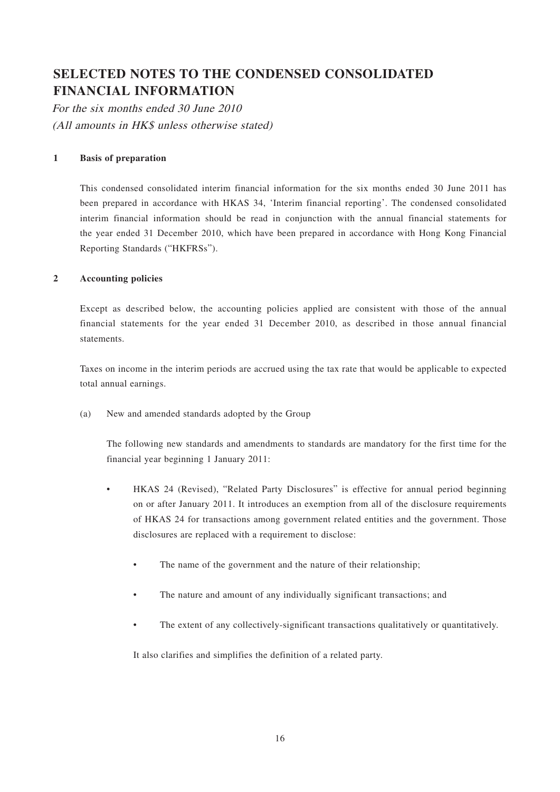# **SELECTED NOTES TO THE CONDENSED CONSOLIDATED FINANCIAL INFORMATION**

For the six months ended 30 June 2010 (All amounts in HK\$ unless otherwise stated)

#### **1 Basis of preparation**

This condensed consolidated interim financial information for the six months ended 30 June 2011 has been prepared in accordance with HKAS 34, 'Interim financial reporting'. The condensed consolidated interim financial information should be read in conjunction with the annual financial statements for the year ended 31 December 2010, which have been prepared in accordance with Hong Kong Financial Reporting Standards ("HKFRSs").

#### **2 Accounting policies**

Except as described below, the accounting policies applied are consistent with those of the annual financial statements for the year ended 31 December 2010, as described in those annual financial statements.

Taxes on income in the interim periods are accrued using the tax rate that would be applicable to expected total annual earnings.

(a) New and amended standards adopted by the Group

The following new standards and amendments to standards are mandatory for the first time for the financial year beginning 1 January 2011:

- HKAS 24 (Revised), "Related Party Disclosures" is effective for annual period beginning on or after January 2011. It introduces an exemption from all of the disclosure requirements of HKAS 24 for transactions among government related entities and the government. Those disclosures are replaced with a requirement to disclose:
	- The name of the government and the nature of their relationship;
	- The nature and amount of any individually significant transactions; and
	- The extent of any collectively-significant transactions qualitatively or quantitatively.

It also clarifies and simplifies the definition of a related party.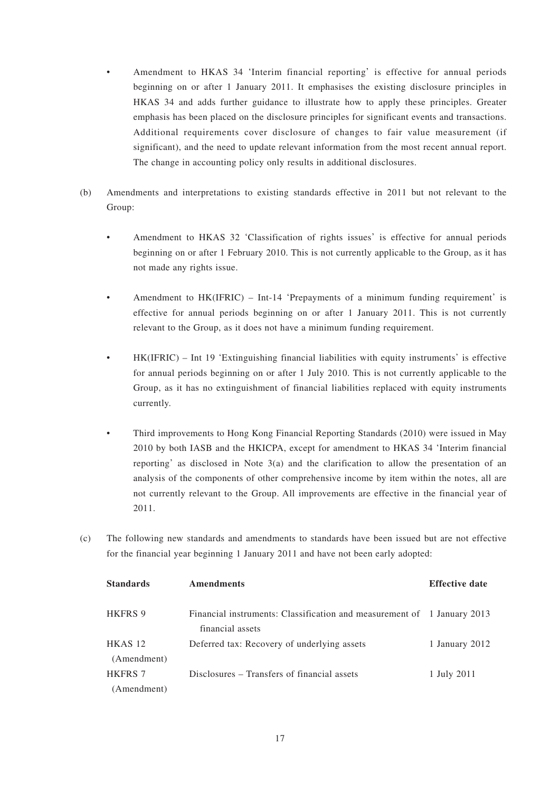- Amendment to HKAS 34 'Interim financial reporting' is effective for annual periods beginning on or after 1 January 2011. It emphasises the existing disclosure principles in HKAS 34 and adds further guidance to illustrate how to apply these principles. Greater emphasis has been placed on the disclosure principles for significant events and transactions. Additional requirements cover disclosure of changes to fair value measurement (if significant), and the need to update relevant information from the most recent annual report. The change in accounting policy only results in additional disclosures.
- (b) Amendments and interpretations to existing standards effective in 2011 but not relevant to the Group:
	- Amendment to HKAS 32 'Classification of rights issues' is effective for annual periods beginning on or after 1 February 2010. This is not currently applicable to the Group, as it has not made any rights issue.
	- Amendment to HK(IFRIC) Int-14 'Prepayments of a minimum funding requirement' is effective for annual periods beginning on or after 1 January 2011. This is not currently relevant to the Group, as it does not have a minimum funding requirement.
	- HK(IFRIC) Int 19 'Extinguishing financial liabilities with equity instruments' is effective for annual periods beginning on or after 1 July 2010. This is not currently applicable to the Group, as it has no extinguishment of financial liabilities replaced with equity instruments currently.
	- Third improvements to Hong Kong Financial Reporting Standards (2010) were issued in May 2010 by both IASB and the HKICPA, except for amendment to HKAS 34 'Interim financial reporting' as disclosed in Note 3(a) and the clarification to allow the presentation of an analysis of the components of other comprehensive income by item within the notes, all are not currently relevant to the Group. All improvements are effective in the financial year of 2011.
- (c) The following new standards and amendments to standards have been issued but are not effective for the financial year beginning 1 January 2011 and have not been early adopted:

| <b>Standards</b>   | <b>Amendments</b>                                                                           | <b>Effective date</b> |
|--------------------|---------------------------------------------------------------------------------------------|-----------------------|
| <b>HKFRS 9</b>     | Financial instruments: Classification and measurement of 1 January 2013<br>financial assets |                       |
| HKAS <sub>12</sub> | Deferred tax: Recovery of underlying assets                                                 | 1 January 2012        |
| (Amendment)        |                                                                                             |                       |
| <b>HKFRS 7</b>     | Disclosures – Transfers of financial assets                                                 | 1 July 2011           |
| (Amendment)        |                                                                                             |                       |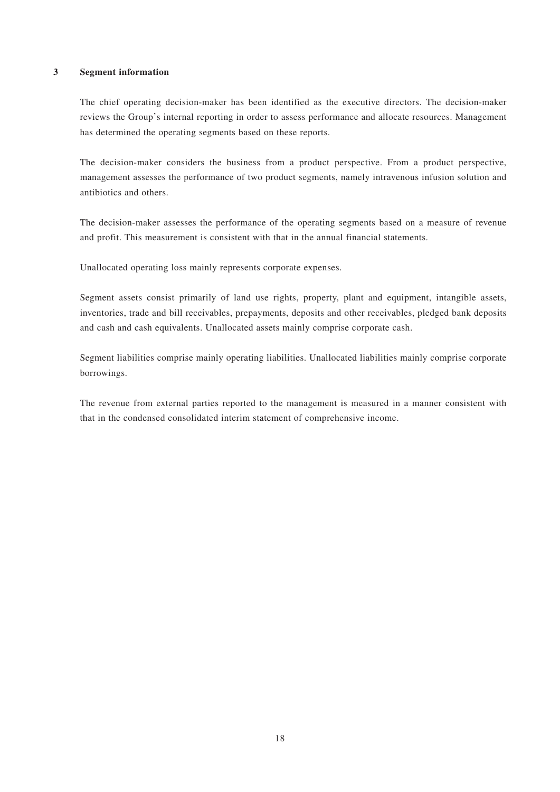#### **3 Segment information**

The chief operating decision-maker has been identified as the executive directors. The decision-maker reviews the Group's internal reporting in order to assess performance and allocate resources. Management has determined the operating segments based on these reports.

The decision-maker considers the business from a product perspective. From a product perspective, management assesses the performance of two product segments, namely intravenous infusion solution and antibiotics and others.

The decision-maker assesses the performance of the operating segments based on a measure of revenue and profit. This measurement is consistent with that in the annual financial statements.

Unallocated operating loss mainly represents corporate expenses.

Segment assets consist primarily of land use rights, property, plant and equipment, intangible assets, inventories, trade and bill receivables, prepayments, deposits and other receivables, pledged bank deposits and cash and cash equivalents. Unallocated assets mainly comprise corporate cash.

Segment liabilities comprise mainly operating liabilities. Unallocated liabilities mainly comprise corporate borrowings.

The revenue from external parties reported to the management is measured in a manner consistent with that in the condensed consolidated interim statement of comprehensive income.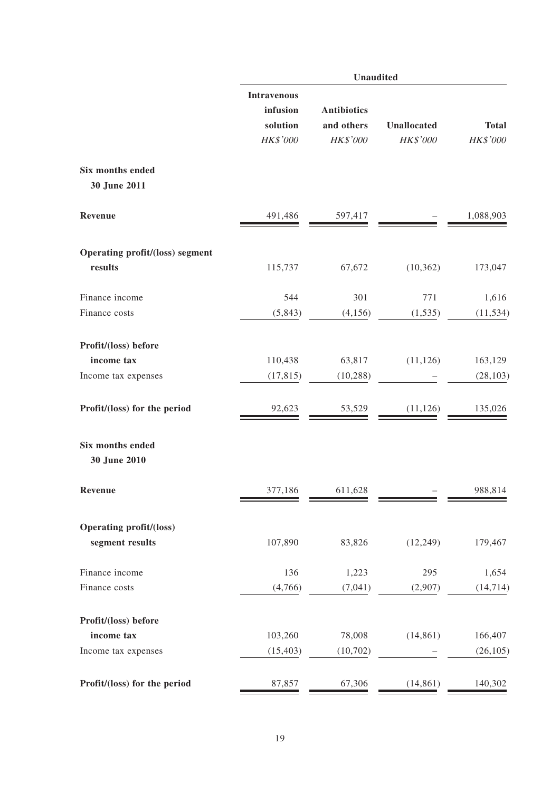|                                                   | <b>Unaudited</b>                                       |                                              |                                |                          |  |  |  |
|---------------------------------------------------|--------------------------------------------------------|----------------------------------------------|--------------------------------|--------------------------|--|--|--|
|                                                   | <b>Intravenous</b><br>infusion<br>solution<br>HK\$'000 | <b>Antibiotics</b><br>and others<br>HK\$'000 | <b>Unallocated</b><br>HK\$'000 | <b>Total</b><br>HK\$'000 |  |  |  |
| Six months ended<br>30 June 2011                  |                                                        |                                              |                                |                          |  |  |  |
| Revenue                                           | 491,486                                                | 597,417                                      |                                | 1,088,903                |  |  |  |
| Operating profit/(loss) segment                   |                                                        |                                              |                                |                          |  |  |  |
| results                                           | 115,737                                                | 67,672                                       | (10, 362)                      | 173,047                  |  |  |  |
| Finance income                                    | 544                                                    | 301                                          | 771                            | 1,616                    |  |  |  |
| Finance costs                                     | (5, 843)                                               | (4,156)                                      | (1, 535)                       | (11, 534)                |  |  |  |
| Profit/(loss) before                              |                                                        |                                              |                                |                          |  |  |  |
| income tax                                        | 110,438                                                | 63,817                                       | (11, 126)                      | 163,129                  |  |  |  |
| Income tax expenses                               | (17, 815)                                              | (10, 288)                                    |                                | (28, 103)                |  |  |  |
| Profit/(loss) for the period                      | 92,623                                                 | 53,529                                       | (11, 126)                      | 135,026                  |  |  |  |
| Six months ended<br>30 June 2010                  |                                                        |                                              |                                |                          |  |  |  |
| Revenue                                           | 377,186                                                | 611,628                                      |                                | 988,814                  |  |  |  |
| <b>Operating profit/(loss)</b><br>segment results | 107,890                                                | 83,826                                       | (12, 249)                      | 179,467                  |  |  |  |
| Finance income                                    | 136                                                    | 1,223                                        | 295                            | 1,654                    |  |  |  |
| Finance costs                                     | (4,766)                                                | (7,041)                                      | (2,907)                        | (14, 714)                |  |  |  |
| Profit/(loss) before                              |                                                        |                                              |                                |                          |  |  |  |
| income tax                                        | 103,260                                                | 78,008                                       | (14, 861)                      | 166,407                  |  |  |  |
| Income tax expenses                               | (15, 403)                                              | (10,702)                                     |                                | (26, 105)                |  |  |  |
| Profit/(loss) for the period                      | 87,857                                                 | 67,306                                       | (14, 861)                      | 140,302                  |  |  |  |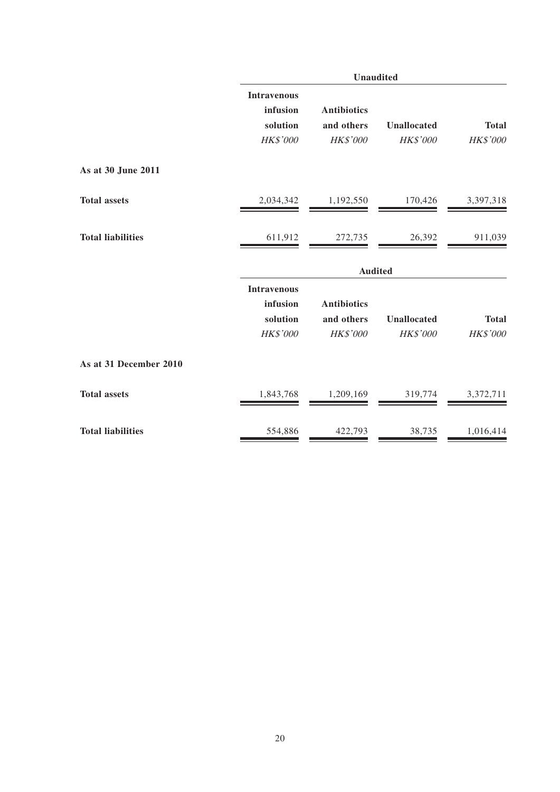|                          | Unaudited                      |                        |                         |                          |  |  |
|--------------------------|--------------------------------|------------------------|-------------------------|--------------------------|--|--|
|                          | <b>Intravenous</b><br>infusion | <b>Antibiotics</b>     |                         |                          |  |  |
|                          | solution<br>HK\$'000           | and others<br>HK\$'000 | Unallocated<br>HK\$'000 | <b>Total</b><br>HK\$'000 |  |  |
| As at 30 June 2011       |                                |                        |                         |                          |  |  |
| <b>Total assets</b>      | 2,034,342                      | 1,192,550              | 170,426                 | 3,397,318                |  |  |
| <b>Total liabilities</b> | 611,912                        | 272,735                | 26,392                  | 911,039                  |  |  |
|                          |                                | <b>Audited</b>         |                         |                          |  |  |
|                          | <b>Intravenous</b>             |                        |                         |                          |  |  |
|                          | infusion                       | <b>Antibiotics</b>     |                         |                          |  |  |
|                          | solution<br>HK\$'000           | and others<br>HK\$'000 | Unallocated<br>HK\$'000 | <b>Total</b><br>HK\$'000 |  |  |
|                          |                                |                        |                         |                          |  |  |
| As at 31 December 2010   |                                |                        |                         |                          |  |  |
| <b>Total assets</b>      | 1,843,768                      | 1,209,169              | 319,774                 | 3,372,711                |  |  |
| <b>Total liabilities</b> | 554,886                        | 422,793                | 38,735                  | 1,016,414                |  |  |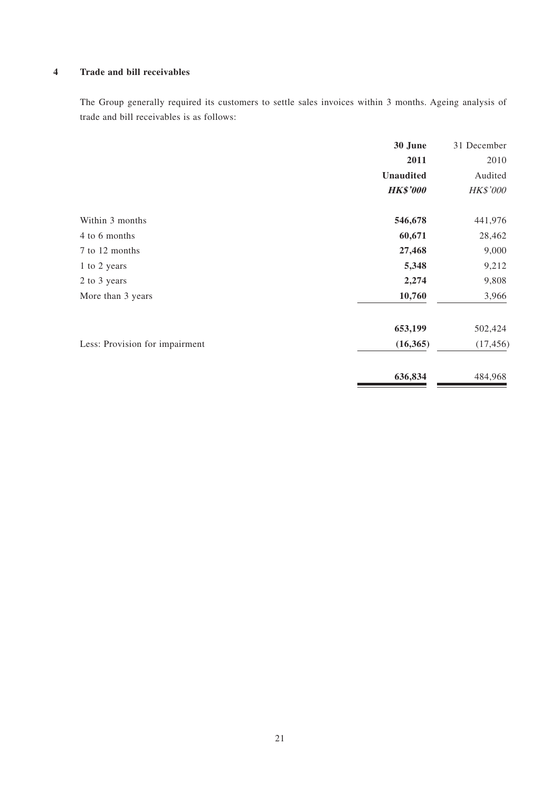#### **4 Trade and bill receivables**

The Group generally required its customers to settle sales invoices within 3 months. Ageing analysis of trade and bill receivables is as follows:

|                                | 30 June          | 31 December     |
|--------------------------------|------------------|-----------------|
|                                | 2011             | 2010            |
|                                | <b>Unaudited</b> | Audited         |
|                                | <b>HK\$'000</b>  | <b>HK\$'000</b> |
| Within 3 months                | 546,678          | 441,976         |
| 4 to 6 months                  | 60,671           | 28,462          |
| 7 to 12 months                 | 27,468           | 9,000           |
| 1 to 2 years                   | 5,348            | 9,212           |
| 2 to 3 years                   | 2,274            | 9,808           |
| More than 3 years              | 10,760           | 3,966           |
|                                | 653,199          | 502,424         |
| Less: Provision for impairment | (16, 365)        | (17, 456)       |
|                                | 636,834          | 484,968         |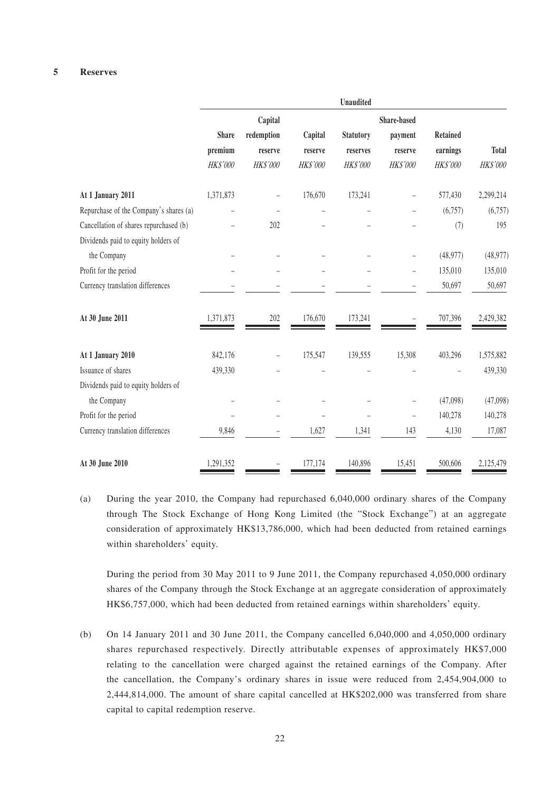#### **5 Reserves**

|                                        |              |            |          | <b>Unaudited</b> |                          |           |              |
|----------------------------------------|--------------|------------|----------|------------------|--------------------------|-----------|--------------|
|                                        |              | Capital    |          |                  | Share-based              |           |              |
|                                        | <b>Share</b> | redemption | Capital  | <b>Statutory</b> | payment                  | Retained  |              |
|                                        | premium      | reserve    | reserve  | reserves         | reserve                  | earnings  | <b>Total</b> |
|                                        | HK\$'000     | HK\$'000   | HK\$'000 | HK\$'000         | HK\$'000                 | HK\$'000  | HK\$'000     |
| At 1 January 2011                      | 1,371,873    |            | 176,670  | 173,241          |                          | 577,430   | 2,299,214    |
| Repurchase of the Company's shares (a) |              |            |          |                  |                          | (6,757)   | (6,757)      |
| Cancellation of shares repurchased (b) |              | 202        |          |                  |                          | (7)       | 195          |
| Dividends paid to equity holders of    |              |            |          |                  |                          |           |              |
| the Company                            |              |            |          |                  |                          | (48, 977) | (48, 977)    |
| Profit for the period                  |              |            |          |                  |                          | 135,010   | 135,010      |
| Currency translation differences       |              |            |          |                  |                          | 50,697    | 50,697       |
| At 30 June 2011                        | 1,371,873    | 202        | 176,670  | 173,241          |                          | 707,396   | 2,429,382    |
| At 1 January 2010                      | 842,176      |            | 175,547  | 139,555          | 15,308                   | 403,296   | 1,575,882    |
| Issuance of shares                     | 439,330      |            |          |                  |                          |           | 439,330      |
| Dividends paid to equity holders of    |              |            |          |                  |                          |           |              |
| the Company                            |              |            |          |                  |                          | (47,098)  | (47,098)     |
| Profit for the period                  |              |            |          |                  | $\overline{\phantom{0}}$ | 140,278   | 140,278      |
| Currency translation differences       | 9,846        |            | 1,627    | 1,341            | 143                      | 4,130     | 17,087       |
| At 30 June 2010                        | 1,291,352    |            | 177,174  | 140,896          | 15,451                   | 500,606   | 2,125,479    |

(a) During the year 2010, the Company had repurchased 6,040,000 ordinary shares of the Company through The Stock Exchange of Hong Kong Limited (the "Stock Exchange") at an aggregate consideration of approximately HK\$13,786,000, which had been deducted from retained earnings within shareholders' equity.

During the period from 30 May 2011 to 9 June 2011, the Company repurchased 4,050,000 ordinary shares of the Company through the Stock Exchange at an aggregate consideration of approximately HK\$6,757,000, which had been deducted from retained earnings within shareholders' equity.

(b) On 14 January 2011 and 30 June 2011, the Company cancelled 6,040,000 and 4,050,000 ordinary shares repurchased respectively. Directly attributable expenses of approximately HK\$7,000 relating to the cancellation were charged against the retained earnings of the Company. After the cancellation, the Company's ordinary shares in issue were reduced from 2,454,904,000 to 2,444,814,000. The amount of share capital cancelled at HK\$202,000 was transferred from share capital to capital redemption reserve.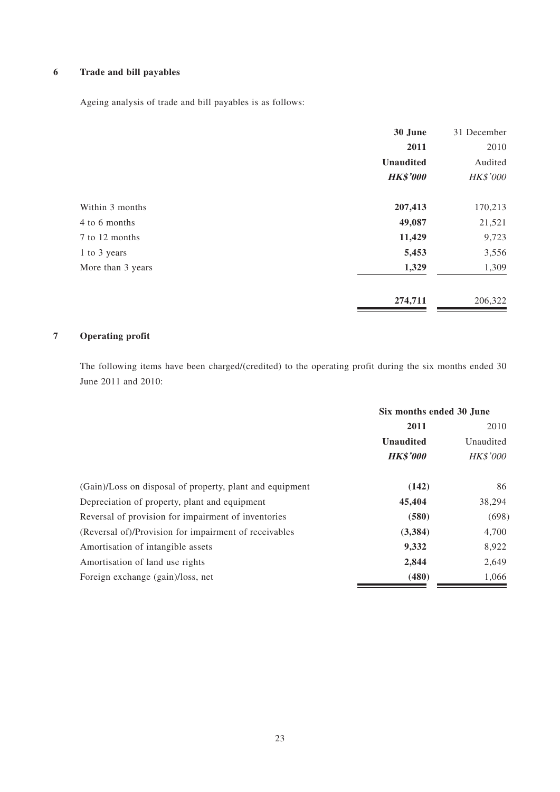### **6 Trade and bill payables**

Ageing analysis of trade and bill payables is as follows:

|                   | 30 June          | 31 December |
|-------------------|------------------|-------------|
|                   | 2011             | 2010        |
|                   | <b>Unaudited</b> | Audited     |
|                   | <b>HK\$'000</b>  | HK\$'000    |
| Within 3 months   | 207,413          | 170,213     |
| 4 to 6 months     | 49,087           | 21,521      |
| 7 to 12 months    | 11,429           | 9,723       |
| 1 to 3 years      | 5,453            | 3,556       |
| More than 3 years | 1,329            | 1,309       |
|                   | 274,711          | 206,322     |

#### **7 Operating profit**

The following items have been charged/(credited) to the operating profit during the six months ended 30 June 2011 and 2010:

|                                                          | Six months ended 30 June |                 |  |
|----------------------------------------------------------|--------------------------|-----------------|--|
|                                                          | 2011<br>2010             |                 |  |
|                                                          | <b>Unaudited</b>         | Unaudited       |  |
|                                                          | <b>HK\$'000</b>          | <b>HK\$'000</b> |  |
| (Gain)/Loss on disposal of property, plant and equipment | (142)                    | 86              |  |
| Depreciation of property, plant and equipment            | 45,404                   | 38,294          |  |
| Reversal of provision for impairment of inventories      | (580)                    | (698)           |  |
| (Reversal of)/Provision for impairment of receivables    | (3, 384)                 | 4,700           |  |
| Amortisation of intangible assets                        | 9,332                    | 8,922           |  |
| Amortisation of land use rights                          | 2,844                    | 2,649           |  |
| Foreign exchange (gain)/loss, net                        | (480)                    | 1,066           |  |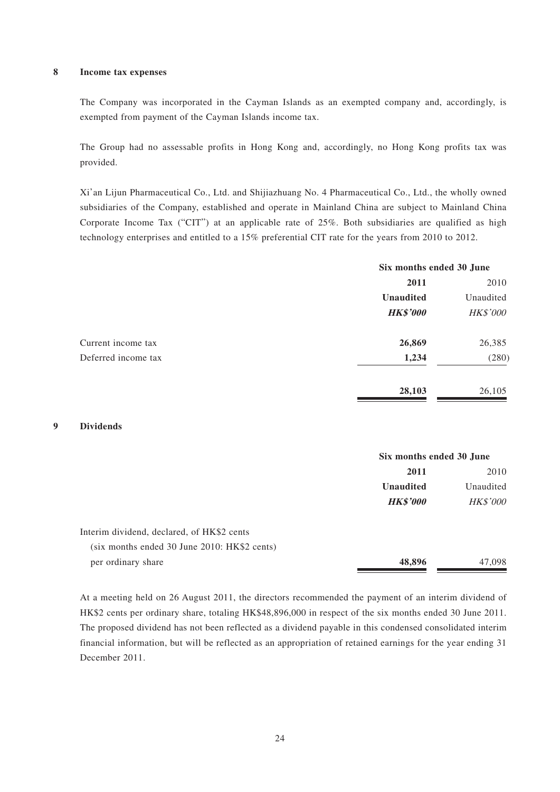#### **8 Income tax expenses**

The Company was incorporated in the Cayman Islands as an exempted company and, accordingly, is exempted from payment of the Cayman Islands income tax.

The Group had no assessable profits in Hong Kong and, accordingly, no Hong Kong profits tax was provided.

Xi'an Lijun Pharmaceutical Co., Ltd. and Shijiazhuang No. 4 Pharmaceutical Co., Ltd., the wholly owned subsidiaries of the Company, established and operate in Mainland China are subject to Mainland China Corporate Income Tax ("CIT") at an applicable rate of 25%. Both subsidiaries are qualified as high technology enterprises and entitled to a 15% preferential CIT rate for the years from 2010 to 2012.

| Six months ended 30 June |                 |
|--------------------------|-----------------|
| 2011                     | 2010            |
| <b>Unaudited</b>         | Unaudited       |
| <b>HK\$'000</b>          | <b>HK\$'000</b> |
| 26,869                   | 26,385          |
| 1,234                    | (280)           |
| 28,103                   | 26,105          |
|                          |                 |

#### **9 Dividends**

|                                                | Six months ended 30 June |                 |
|------------------------------------------------|--------------------------|-----------------|
|                                                | 2011                     | 2010            |
|                                                | <b>Unaudited</b>         | Unaudited       |
|                                                | <b>HK\$'000</b>          | <b>HK\$'000</b> |
| Interim dividend, declared, of HK\$2 cents     |                          |                 |
| $(six$ months ended 30 June 2010: HK\$2 cents) |                          |                 |
| per ordinary share                             | 48,896                   | 47,098          |

At a meeting held on 26 August 2011, the directors recommended the payment of an interim dividend of HK\$2 cents per ordinary share, totaling HK\$48,896,000 in respect of the six months ended 30 June 2011. The proposed dividend has not been reflected as a dividend payable in this condensed consolidated interim financial information, but will be reflected as an appropriation of retained earnings for the year ending 31 December 2011.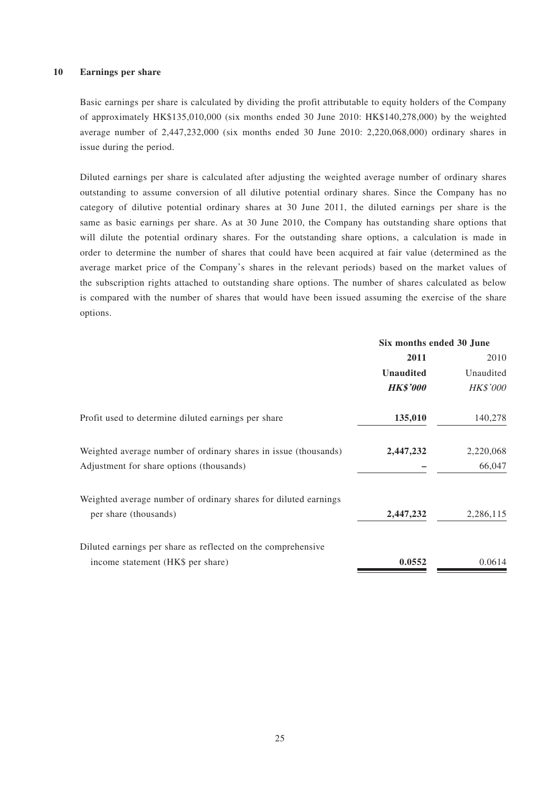Basic earnings per share is calculated by dividing the profit attributable to equity holders of the Company of approximately HK\$135,010,000 (six months ended 30 June 2010: HK\$140,278,000) by the weighted average number of 2,447,232,000 (six months ended 30 June 2010: 2,220,068,000) ordinary shares in issue during the period.

Diluted earnings per share is calculated after adjusting the weighted average number of ordinary shares outstanding to assume conversion of all dilutive potential ordinary shares. Since the Company has no category of dilutive potential ordinary shares at 30 June 2011, the diluted earnings per share is the same as basic earnings per share. As at 30 June 2010, the Company has outstanding share options that will dilute the potential ordinary shares. For the outstanding share options, a calculation is made in order to determine the number of shares that could have been acquired at fair value (determined as the average market price of the Company's shares in the relevant periods) based on the market values of the subscription rights attached to outstanding share options. The number of shares calculated as below is compared with the number of shares that would have been issued assuming the exercise of the share options.

|                                                                 | Six months ended 30 June |                 |
|-----------------------------------------------------------------|--------------------------|-----------------|
|                                                                 | 2011                     | 2010            |
|                                                                 | <b>Unaudited</b>         | Unaudited       |
|                                                                 | <b>HK\$'000</b>          | <b>HK\$'000</b> |
| Profit used to determine diluted earnings per share             | 135,010                  | 140,278         |
| Weighted average number of ordinary shares in issue (thousands) | 2,447,232                | 2,220,068       |
| Adjustment for share options (thousands)                        |                          | 66,047          |
| Weighted average number of ordinary shares for diluted earnings |                          |                 |
| per share (thousands)                                           | 2,447,232                | 2,286,115       |
| Diluted earnings per share as reflected on the comprehensive    |                          |                 |
| income statement (HK\$ per share)                               | 0.0552                   | 0.0614          |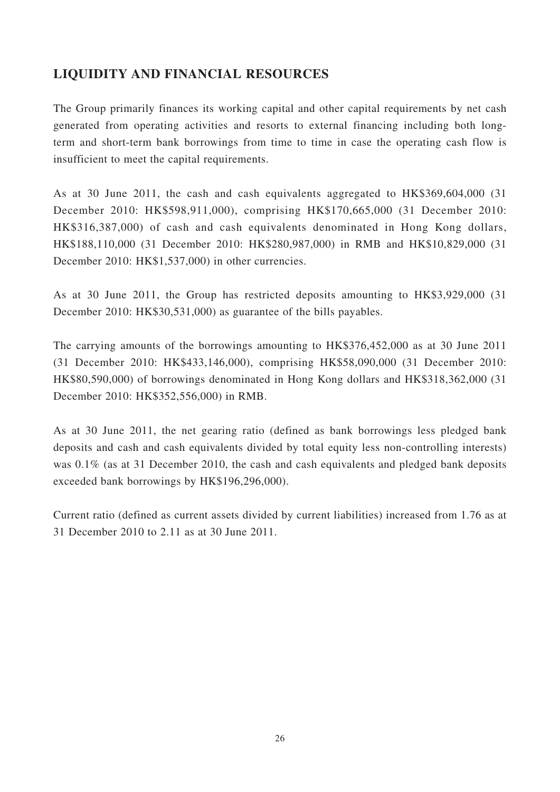## **LIQUIDITY AND FINANCIAL RESOURCES**

The Group primarily finances its working capital and other capital requirements by net cash generated from operating activities and resorts to external financing including both longterm and short-term bank borrowings from time to time in case the operating cash flow is insufficient to meet the capital requirements.

As at 30 June 2011, the cash and cash equivalents aggregated to HK\$369,604,000 (31 December 2010: HK\$598,911,000), comprising HK\$170,665,000 (31 December 2010: HK\$316,387,000) of cash and cash equivalents denominated in Hong Kong dollars, HK\$188,110,000 (31 December 2010: HK\$280,987,000) in RMB and HK\$10,829,000 (31 December 2010: HK\$1,537,000) in other currencies.

As at 30 June 2011, the Group has restricted deposits amounting to HK\$3,929,000 (31 December 2010: HK\$30,531,000) as guarantee of the bills payables.

The carrying amounts of the borrowings amounting to HK\$376,452,000 as at 30 June 2011 (31 December 2010: HK\$433,146,000), comprising HK\$58,090,000 (31 December 2010: HK\$80,590,000) of borrowings denominated in Hong Kong dollars and HK\$318,362,000 (31 December 2010: HK\$352,556,000) in RMB.

As at 30 June 2011, the net gearing ratio (defined as bank borrowings less pledged bank deposits and cash and cash equivalents divided by total equity less non-controlling interests) was 0.1% (as at 31 December 2010, the cash and cash equivalents and pledged bank deposits exceeded bank borrowings by HK\$196,296,000).

Current ratio (defined as current assets divided by current liabilities) increased from 1.76 as at 31 December 2010 to 2.11 as at 30 June 2011.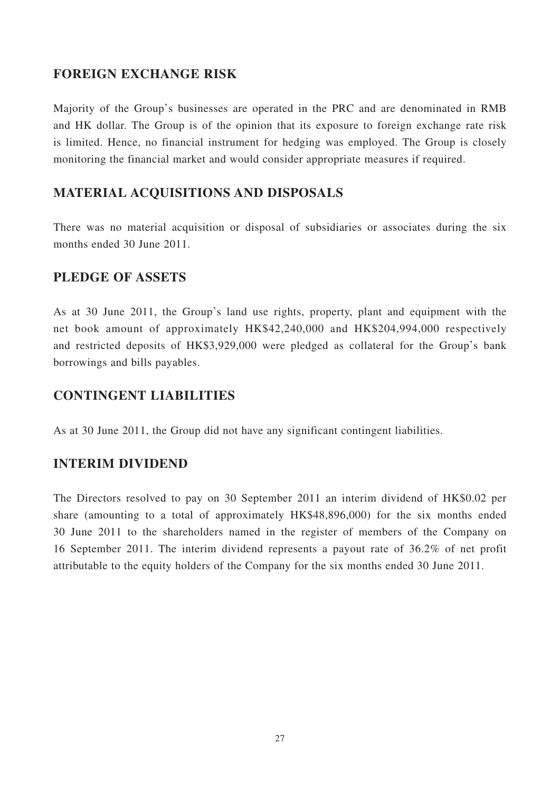### **FOREIGN EXCHANGE RISK**

Majority of the Group's businesses are operated in the PRC and are denominated in RMB and HK dollar. The Group is of the opinion that its exposure to foreign exchange rate risk is limited. Hence, no financial instrument for hedging was employed. The Group is closely monitoring the financial market and would consider appropriate measures if required.

## **MATERIAL ACQUISITIONS AND DISPOSALS**

There was no material acquisition or disposal of subsidiaries or associates during the six months ended 30 June 2011.

### **PLEDGE OF ASSETS**

As at 30 June 2011, the Group's land use rights, property, plant and equipment with the net book amount of approximately HK\$42,240,000 and HK\$204,994,000 respectively and restricted deposits of HK\$3,929,000 were pledged as collateral for the Group's bank borrowings and bills payables.

### **CONTINGENT LIABILITIES**

As at 30 June 2011, the Group did not have any significant contingent liabilities.

### **INTERIM DIVIDEND**

The Directors resolved to pay on 30 September 2011 an interim dividend of HK\$0.02 per share (amounting to a total of approximately HK\$48,896,000) for the six months ended 30 June 2011 to the shareholders named in the register of members of the Company on 16 September 2011. The interim dividend represents a payout rate of 36.2% of net profit attributable to the equity holders of the Company for the six months ended 30 June 2011.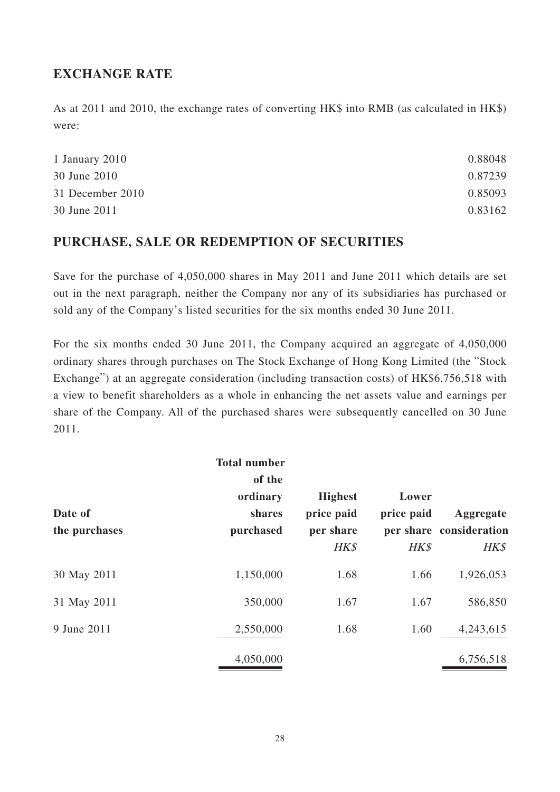### **EXCHANGE RATE**

As at 2011 and 2010, the exchange rates of converting HK\$ into RMB (as calculated in HK\$) were:

| 0.88048 |
|---------|
| 0.87239 |
| 0.85093 |
| 0.83162 |
|         |

## **PURCHASE, SALE OR REDEMPTION OF SECURITIES**

Save for the purchase of 4,050,000 shares in May 2011 and June 2011 which details are set out in the next paragraph, neither the Company nor any of its subsidiaries has purchased or sold any of the Company's listed securities for the six months ended 30 June 2011.

For the six months ended 30 June 2011, the Company acquired an aggregate of 4,050,000 ordinary shares through purchases on The Stock Exchange of Hong Kong Limited (the "Stock Exchange") at an aggregate consideration (including transaction costs) of HK\$6,756,518 with a view to benefit shareholders as a whole in enhancing the net assets value and earnings per share of the Company. All of the purchased shares were subsequently cancelled on 30 June 2011.

| Date of<br>the purchases | <b>Total number</b><br>of the<br>ordinary<br>shares<br>purchased | <b>Highest</b><br>price paid<br>per share<br>HK\$ | Lower<br>price paid<br>HK\$ | Aggregate<br>per share consideration<br>HK\$ |
|--------------------------|------------------------------------------------------------------|---------------------------------------------------|-----------------------------|----------------------------------------------|
| 30 May 2011              | 1,150,000                                                        | 1.68                                              | 1.66                        | 1,926,053                                    |
| 31 May 2011              | 350,000                                                          | 1.67                                              | 1.67                        | 586,850                                      |
| 9 June 2011              | 2,550,000                                                        | 1.68                                              | 1.60                        | 4,243,615                                    |
|                          | 4,050,000                                                        |                                                   |                             | 6,756,518                                    |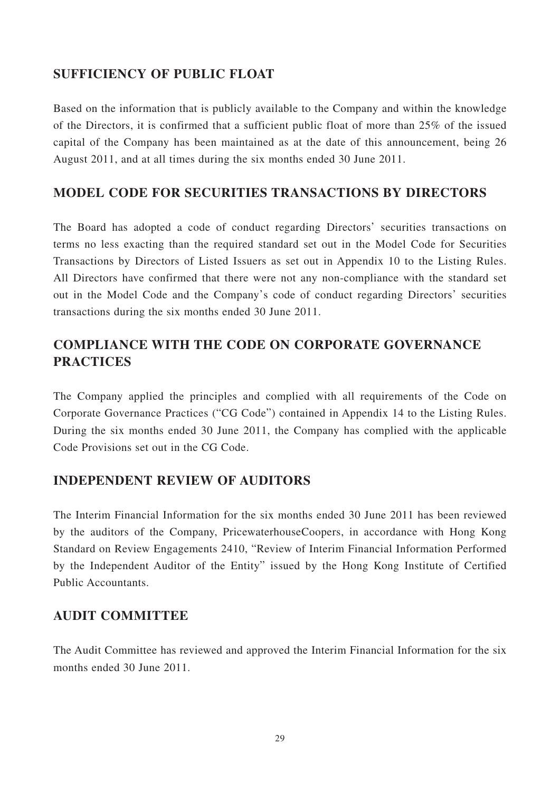### **SUFFICIENCY OF PUBLIC FLOAT**

Based on the information that is publicly available to the Company and within the knowledge of the Directors, it is confirmed that a sufficient public float of more than 25% of the issued capital of the Company has been maintained as at the date of this announcement, being 26 August 2011, and at all times during the six months ended 30 June 2011.

### **MODEL CODE FOR SECURITIES TRANSACTIONS BY DIRECTORS**

The Board has adopted a code of conduct regarding Directors' securities transactions on terms no less exacting than the required standard set out in the Model Code for Securities Transactions by Directors of Listed Issuers as set out in Appendix 10 to the Listing Rules. All Directors have confirmed that there were not any non-compliance with the standard set out in the Model Code and the Company's code of conduct regarding Directors' securities transactions during the six months ended 30 June 2011.

# **COMPLIANCE WITH THE CODE ON CORPORATE GOVERNANCE PRACTICES**

The Company applied the principles and complied with all requirements of the Code on Corporate Governance Practices ("CG Code") contained in Appendix 14 to the Listing Rules. During the six months ended 30 June 2011, the Company has complied with the applicable Code Provisions set out in the CG Code.

### **INDEPENDENT REVIEW OF AUDITORS**

The Interim Financial Information for the six months ended 30 June 2011 has been reviewed by the auditors of the Company, PricewaterhouseCoopers, in accordance with Hong Kong Standard on Review Engagements 2410, "Review of Interim Financial Information Performed by the Independent Auditor of the Entity" issued by the Hong Kong Institute of Certified Public Accountants.

### **AUDIT COMMITTEE**

The Audit Committee has reviewed and approved the Interim Financial Information for the six months ended 30 June 2011.